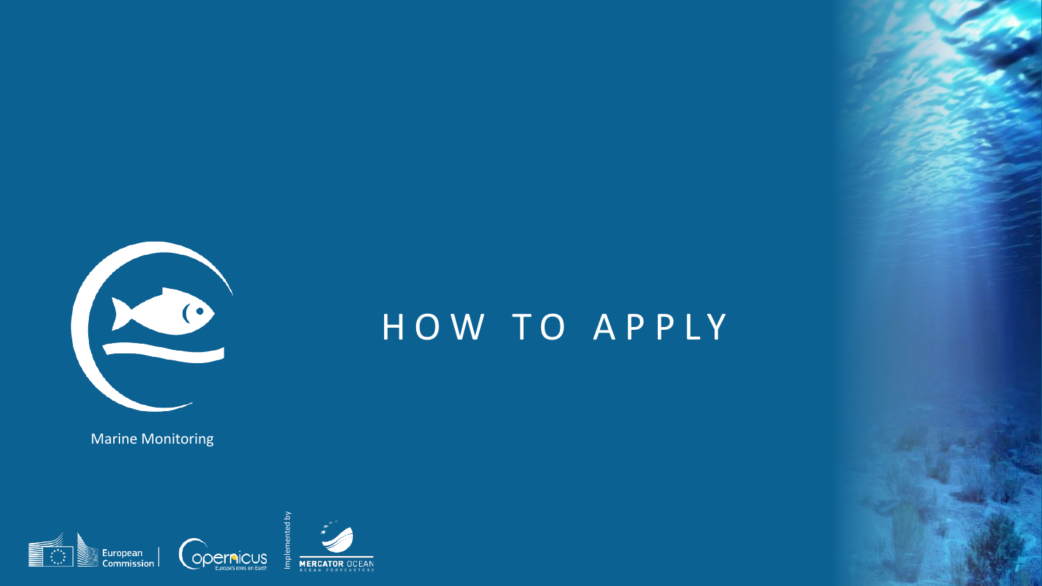

Marine Monitoring



# HOW TO APPLY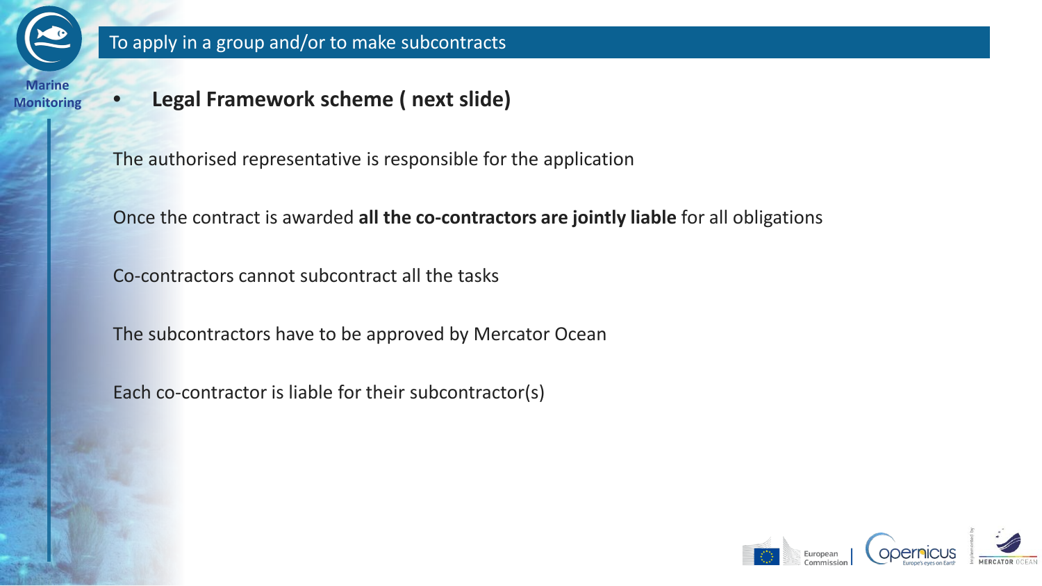

**Monitoring** • **Legal Framework scheme ( next slide)**

The authorised representative is responsible for the application

Once the contract is awarded **all the co-contractors are jointly liable** for all obligations

Co-contractors cannot subcontract all the tasks

The subcontractors have to be approved by Mercator Ocean

Each co-contractor is liable for their subcontractor(s)

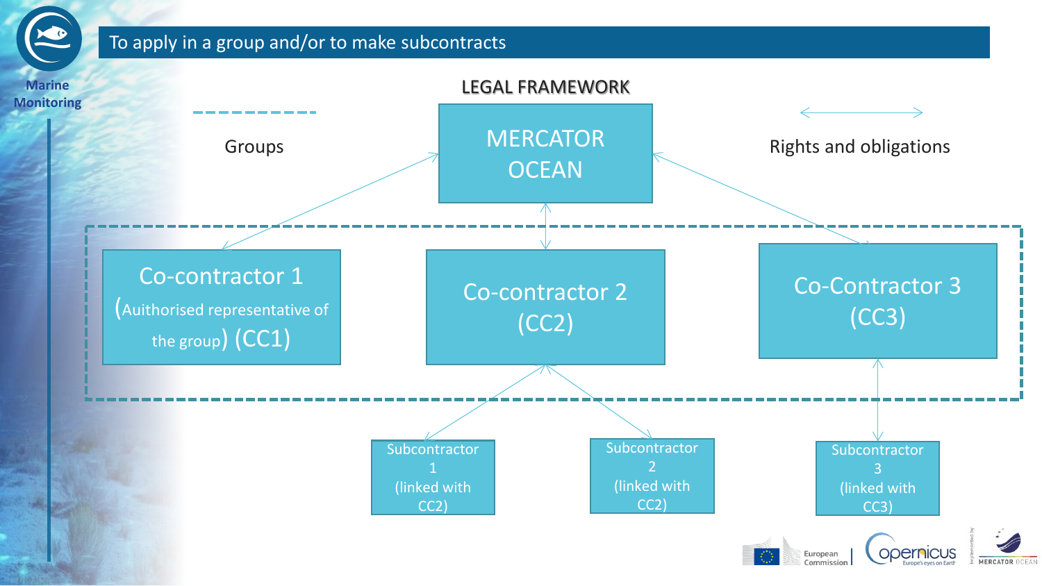# To apply in a group and/or to make subcontracts

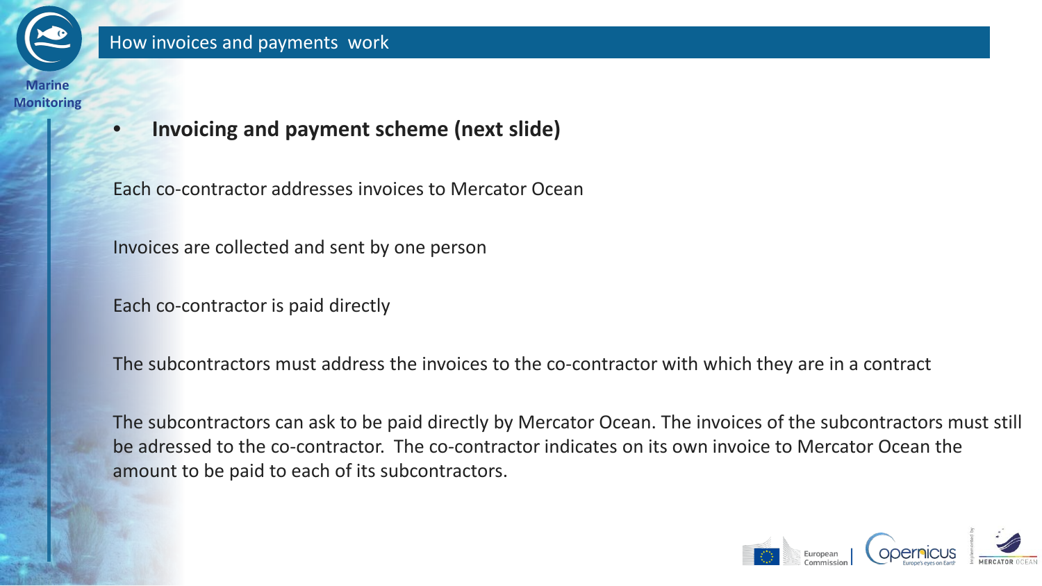

• **Invoicing and payment scheme (next slide)** 

Each co-contractor addresses invoices to Mercator Ocean

Invoices are collected and sent by one person

Each co-contractor is paid directly

The subcontractors must address the invoices to the co-contractor with which they are in a contract

The subcontractors can ask to be paid directly by Mercator Ocean. The invoices of the subcontractors must still be adressed to the co-contractor. The co-contractor indicates on its own invoice to Mercator Ocean the amount to be paid to each of its subcontractors.

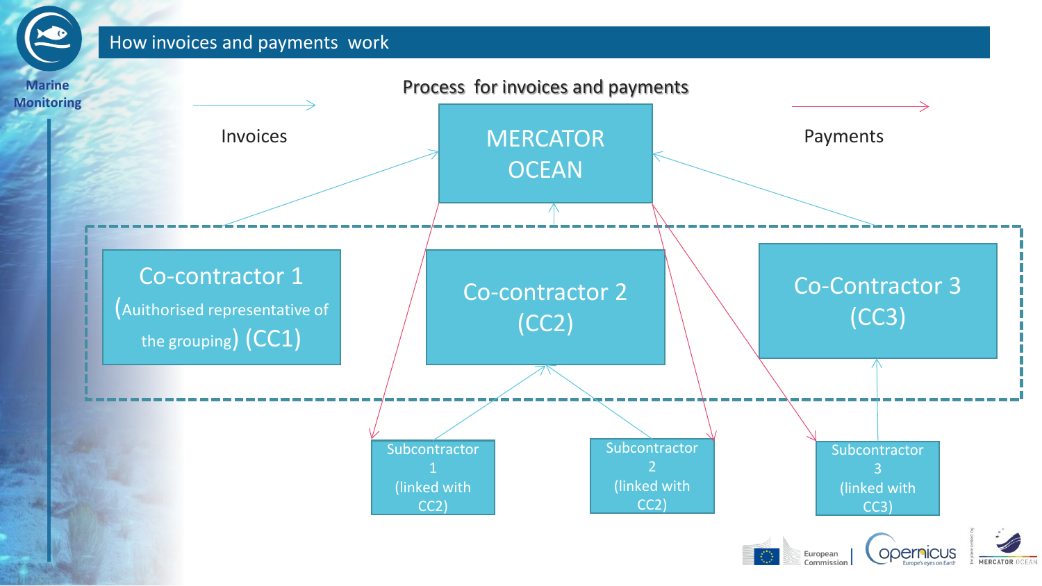## How invoices and payments work

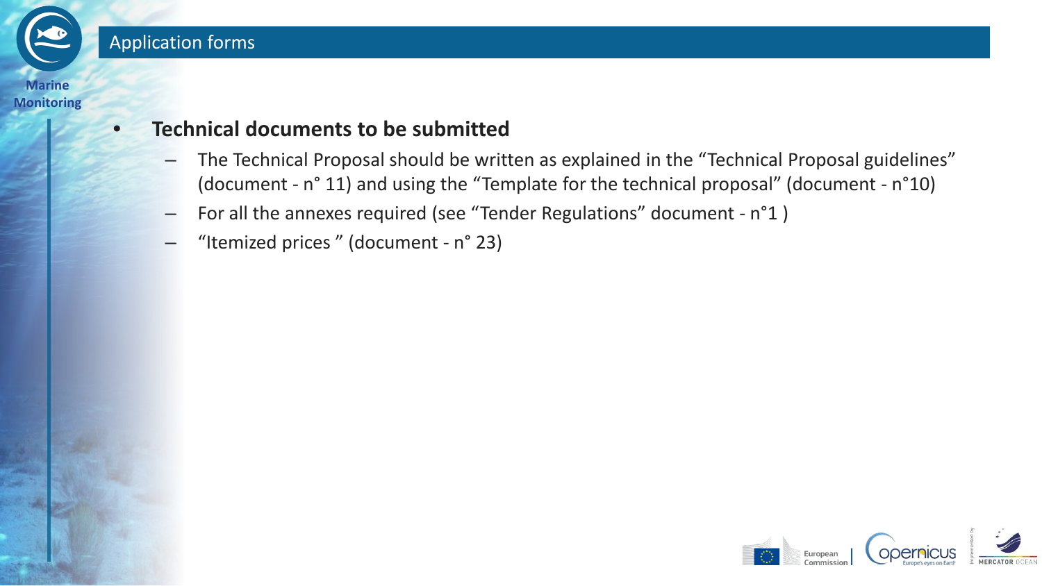

# • **Technical documents to be submitted**

- The Technical Proposal should be written as explained in the "Technical Proposal guidelines" (document - n° 11) and using the "Template for the technical proposal" (document - n°10)
- For all the annexes required (see "Tender Regulations" document n°1 )
- "Itemized prices " (document n° 23)

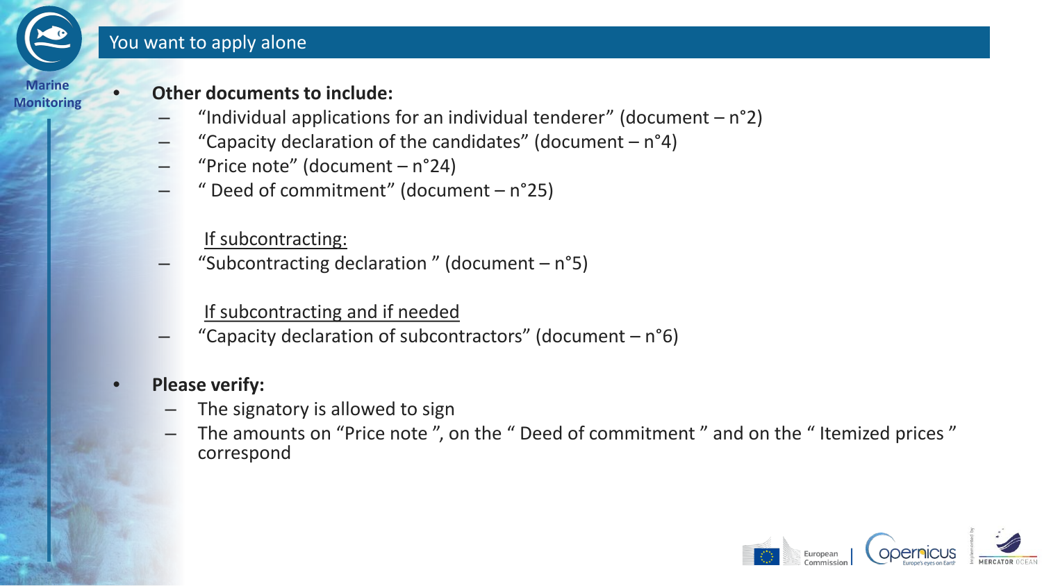## You want to apply alone



# **Monitoring** • **Other documents to include:**

- "Individual applications for an individual tenderer" (document  $-n^{\circ}2$ )
- "Capacity declaration of the candidates" (document  $n^{\circ}4$ )
- "Price note" (document  $n^{\circ}24$ )
- " Deed of commitment" (document  $-$  n°25)

# If subcontracting:

"Subcontracting declaration" (document  $- n°5$ )

# If subcontracting and if needed

"Capacity declaration of subcontractors" (document  $-n°6$ )

# • **Please verify:**

- The signatory is allowed to sign
- The amounts on "Price note ", on the " Deed of commitment " and on the " Itemized prices " correspond

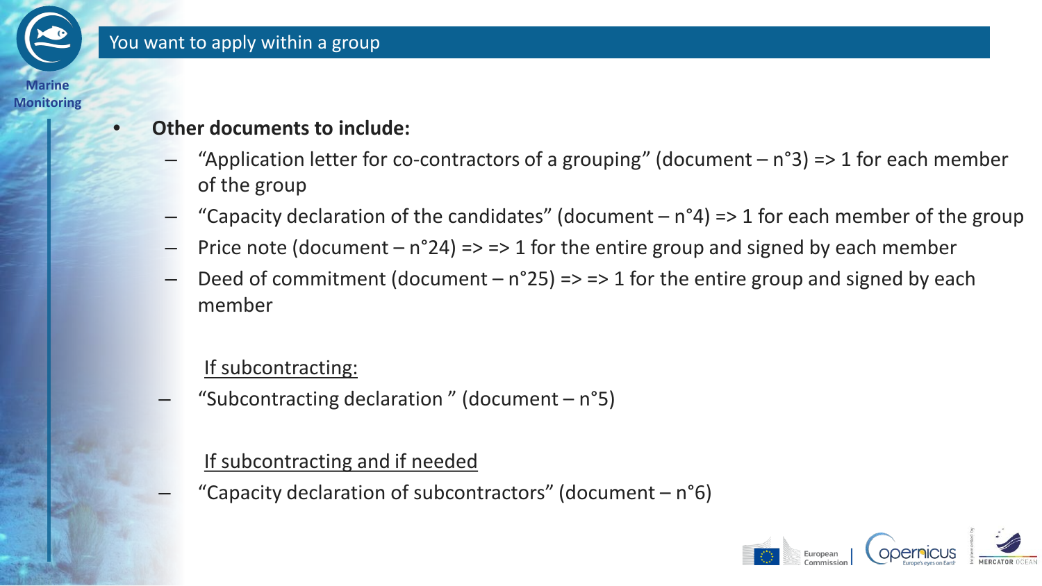

# • **Other documents to include:**

- "Application letter for co-contractors of a grouping" (document  $n°3$ ) => 1 for each member of the group
- "Capacity declaration of the candidates" (document  $n^{\circ}4$ ) => 1 for each member of the group
- Price note (document  $n^{\circ}24$ ) => => 1 for the entire group and signed by each member
- Deed of commitment (document  $n^{\circ}25$ ) => => 1 for the entire group and signed by each member

# If subcontracting:

"Subcontracting declaration" (document  $-$  n°5)

# If subcontracting and if needed

"Capacity declaration of subcontractors" (document  $- n°6$ )

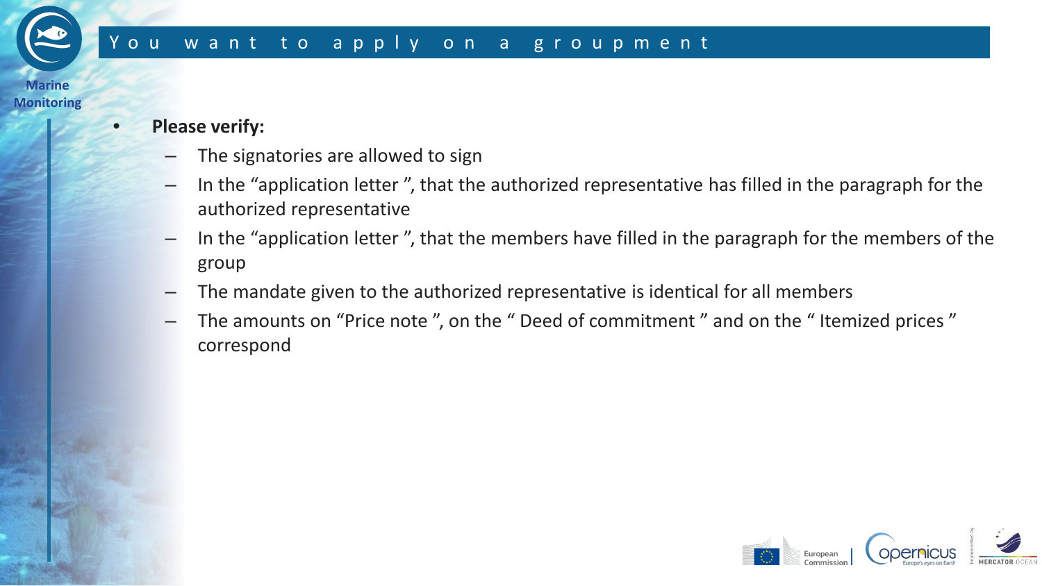# You want to apply on a groupment

#### **Marine Monitoring**

#### • **Please verify:**

- The signatories are allowed to sign
- In the "application letter ", that the authorized representative has filled in the paragraph for the authorized representative
- In the "application letter ", that the members have filled in the paragraph for the members of the group
- The mandate given to the authorized representative is identical for all members
- The amounts on "Price note", on the " Deed of commitment" and on the "Itemized prices" correspond